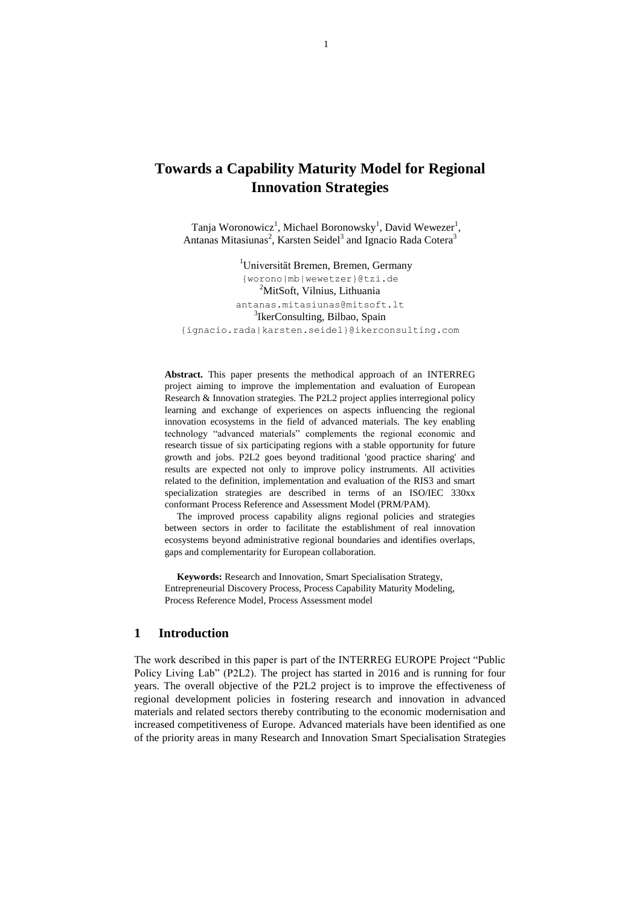# **Towards a Capability Maturity Model for Regional Innovation Strategies**

Tanja Woronowicz<sup>1</sup>, Michael Boronowsky<sup>1</sup>, David Wewezer<sup>1</sup>, Antanas Mitasiunas<sup>2</sup>, Karsten Seidel<sup>3</sup> and Ignacio Rada Cotera<sup>3</sup>

<sup>1</sup>Universität Bremen, Bremen, Germany [{worono|mb|wewetzer}@tzi.de](mailto:%7Bworono%7Cmb%7Cwewetzer%7D@tzi.de) <sup>2</sup>MitSoft, Vilnius, Lithuania [antanas.mitasiunas@mitsoft.lt](mailto:antanas.mitasiunas@mitsoft.lt) <sup>3</sup>IkerConsulting, Bilbao, Spain [{ignacio.rada|karsten.seidel}@ikerconsulting.com](mailto:%7Bignacio.rada%7Ckarsten.seidel%7D@ikerconsulting.com)

**Abstract.** This paper presents the methodical approach of an INTERREG project aiming to improve the implementation and evaluation of European Research & Innovation strategies. The P2L2 project applies interregional policy learning and exchange of experiences on aspects influencing the regional innovation ecosystems in the field of advanced materials. The key enabling technology "advanced materials" complements the regional economic and research tissue of six participating regions with a stable opportunity for future growth and jobs. P2L2 goes beyond traditional 'good practice sharing' and results are expected not only to improve policy instruments. All activities related to the definition, implementation and evaluation of the RIS3 and smart specialization strategies are described in terms of an ISO/IEC 330xx conformant Process Reference and Assessment Model (PRM/PAM).

The improved process capability aligns regional policies and strategies between sectors in order to facilitate the establishment of real innovation ecosystems beyond administrative regional boundaries and identifies overlaps, gaps and complementarity for European collaboration.

**Keywords:** Research and Innovation, Smart Specialisation Strategy, Entrepreneurial Discovery Process, Process Capability Maturity Modeling, Process Reference Model, Process Assessment model

### **1 Introduction**

The work described in this paper is part of the INTERREG EUROPE Project "Public Policy Living Lab" (P2L2). The project has started in 2016 and is running for four years. The overall objective of the P2L2 project is to improve the effectiveness of regional development policies in fostering research and innovation in advanced materials and related sectors thereby contributing to the economic modernisation and increased competitiveness of Europe. Advanced materials have been identified as one of the priority areas in many Research and Innovation Smart Specialisation Strategies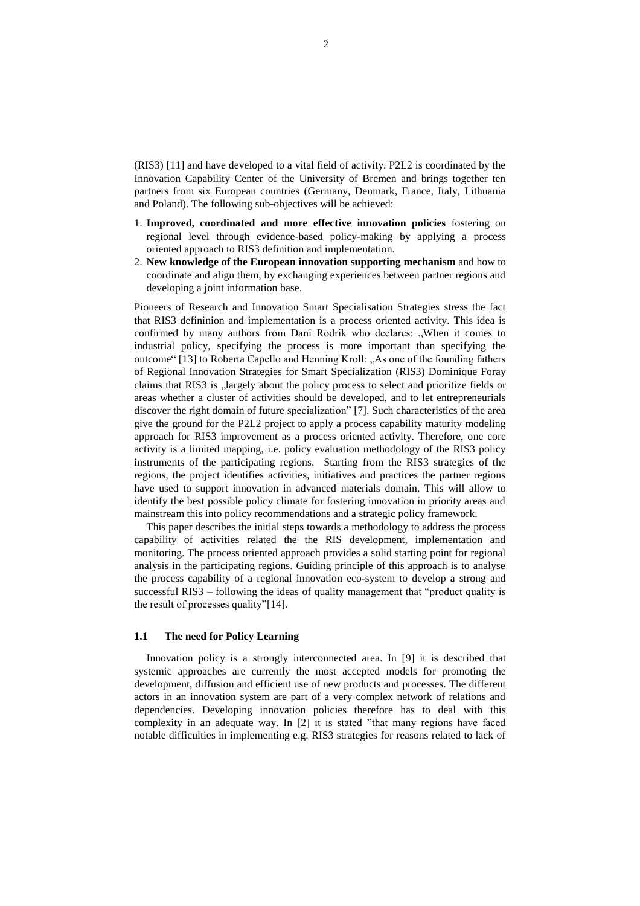(RIS3) [11] and have developed to a vital field of activity. P2L2 is coordinated by the Innovation Capability Center of the University of Bremen and brings together ten partners from six European countries (Germany, Denmark, France, Italy, Lithuania and Poland). The following sub-objectives will be achieved:

- 1. **Improved, coordinated and more effective innovation policies** fostering on regional level through evidence-based policy-making by applying a process oriented approach to RIS3 definition and implementation.
- 2. **New knowledge of the European innovation supporting mechanism** and how to coordinate and align them, by exchanging experiences between partner regions and developing a joint information base.

Pioneers of Research and Innovation Smart Specialisation Strategies stress the fact that RIS3 defininion and implementation is a process oriented activity. This idea is confirmed by many authors from Dani Rodrik who declares: "When it comes to industrial policy, specifying the process is more important than specifying the outcome" [13] to Roberta Capello and Henning Kroll: "As one of the founding fathers of Regional Innovation Strategies for Smart Specialization (RIS3) Dominique Foray claims that RIS3 is "largely about the policy process to select and prioritize fields or areas whether a cluster of activities should be developed, and to let entrepreneurials discover the right domain of future specialization" [7]. Such characteristics of the area give the ground for the P2L2 project to apply a process capability maturity modeling approach for RIS3 improvement as a process oriented activity. Therefore, one core activity is a limited mapping, i.e. policy evaluation methodology of the RIS3 policy instruments of the participating regions. Starting from the RIS3 strategies of the regions, the project identifies activities, initiatives and practices the partner regions have used to support innovation in advanced materials domain. This will allow to identify the best possible policy climate for fostering innovation in priority areas and mainstream this into policy recommendations and a strategic policy framework.

This paper describes the initial steps towards a methodology to address the process capability of activities related the the RIS development, implementation and monitoring. The process oriented approach provides a solid starting point for regional analysis in the participating regions. Guiding principle of this approach is to analyse the process capability of a regional innovation eco-system to develop a strong and successful RIS3 – following the ideas of quality management that "product quality is the result of processes quality"[14].

#### **1.1 The need for Policy Learning**

Innovation policy is a strongly interconnected area. In [9] it is described that systemic approaches are currently the most accepted models for promoting the development, diffusion and efficient use of new products and processes. The different actors in an innovation system are part of a very complex network of relations and dependencies. Developing innovation policies therefore has to deal with this complexity in an adequate way. In [2] it is stated "that many regions have faced notable difficulties in implementing e.g. RIS3 strategies for reasons related to lack of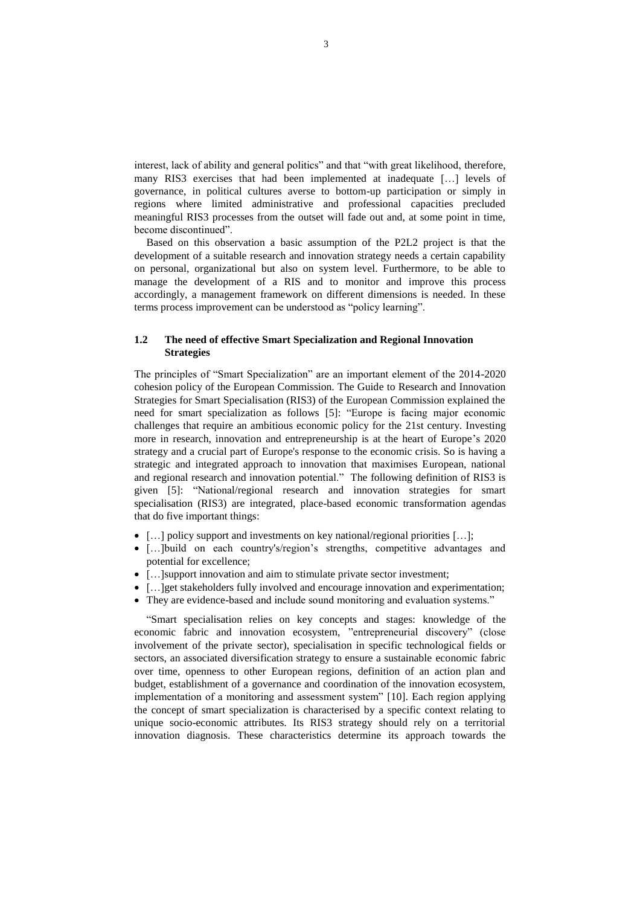interest, lack of ability and general politics" and that "with great likelihood, therefore, many RIS3 exercises that had been implemented at inadequate […] levels of governance, in political cultures averse to bottom-up participation or simply in regions where limited administrative and professional capacities precluded meaningful RIS3 processes from the outset will fade out and, at some point in time, become discontinued".

Based on this observation a basic assumption of the P2L2 project is that the development of a suitable research and innovation strategy needs a certain capability on personal, organizational but also on system level. Furthermore, to be able to manage the development of a RIS and to monitor and improve this process accordingly, a management framework on different dimensions is needed. In these terms process improvement can be understood as "policy learning".

### **1.2 The need of effective Smart Specialization and Regional Innovation Strategies**

The principles of "Smart Specialization" are an important element of the 2014-2020 cohesion policy of the European Commission. The Guide to Research and Innovation Strategies for Smart Specialisation (RIS3) of the European Commission explained the need for smart specialization as follows [5]: "Europe is facing major economic challenges that require an ambitious economic policy for the 21st century. Investing more in research, innovation and entrepreneurship is at the heart of Europe's 2020 strategy and a crucial part of Europe's response to the economic crisis. So is having a strategic and integrated approach to innovation that maximises European, national and regional research and innovation potential." The following definition of RIS3 is given [5]: "National/regional research and innovation strategies for smart specialisation (RIS3) are integrated, place-based economic transformation agendas that do five important things:

- $\bullet$  [...] policy support and investments on key national/regional priorities [...];
- […]build on each country's/region's strengths, competitive advantages and potential for excellence;
- [...] support innovation and aim to stimulate private sector investment;
- […]get stakeholders fully involved and encourage innovation and experimentation;
- They are evidence-based and include sound monitoring and evaluation systems."

"Smart specialisation relies on key concepts and stages: knowledge of the economic fabric and innovation ecosystem, "entrepreneurial discovery" (close involvement of the private sector), specialisation in specific technological fields or sectors, an associated diversification strategy to ensure a sustainable economic fabric over time, openness to other European regions, definition of an action plan and budget, establishment of a governance and coordination of the innovation ecosystem, implementation of a monitoring and assessment system" [10]. Each region applying the concept of smart specialization is characterised by a specific context relating to unique socio-economic attributes. Its RIS3 strategy should rely on a territorial innovation diagnosis. These characteristics determine its approach towards the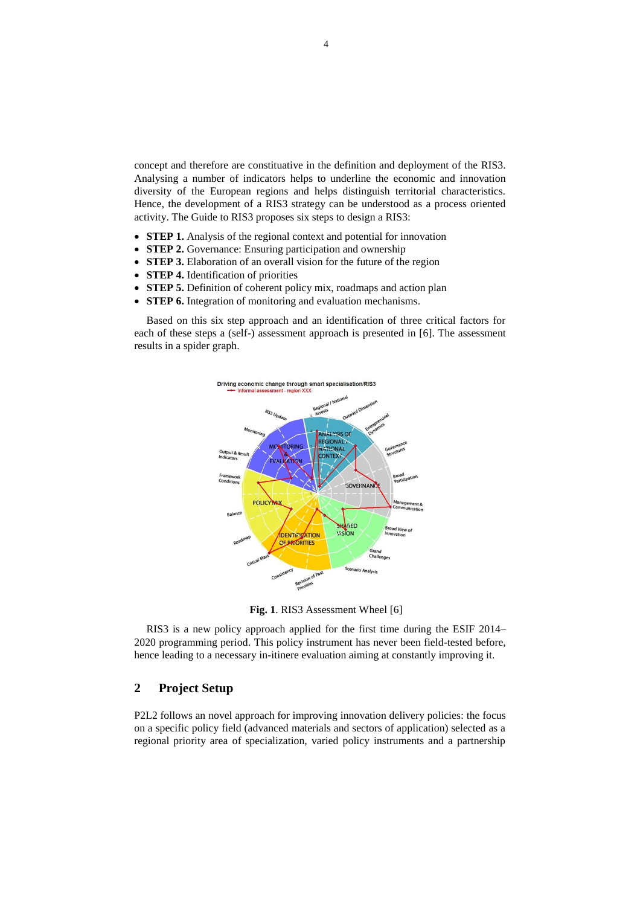concept and therefore are constituative in the definition and deployment of the RIS3. Analysing a number of indicators helps to underline the economic and innovation diversity of the European regions and helps distinguish territorial characteristics. Hence, the development of a RIS3 strategy can be understood as a process oriented activity. The Guide to RIS3 proposes six steps to design a RIS3:

- **STEP 1.** Analysis of the regional context and potential for innovation
- **STEP 2.** Governance: Ensuring participation and ownership
- **STEP 3.** Elaboration of an overall vision for the future of the region
- **STEP 4.** Identification of priorities
- **STEP 5.** Definition of coherent policy mix, roadmaps and action plan
- **STEP 6.** Integration of monitoring and evaluation mechanisms.

Based on this six step approach and an identification of three critical factors for each of these steps a (self-) assessment approach is presented in [6]. The assessment results in a spider graph.



**Fig. 1**. RIS3 Assessment Wheel [6]

RIS3 is a new policy approach applied for the first time during the ESIF 2014– 2020 programming period. This policy instrument has never been field-tested before, hence leading to a necessary in-itinere evaluation aiming at constantly improving it.

## **2 Project Setup**

P2L2 follows an novel approach for improving innovation delivery policies: the focus on a specific policy field (advanced materials and sectors of application) selected as a regional priority area of specialization, varied policy instruments and a partnership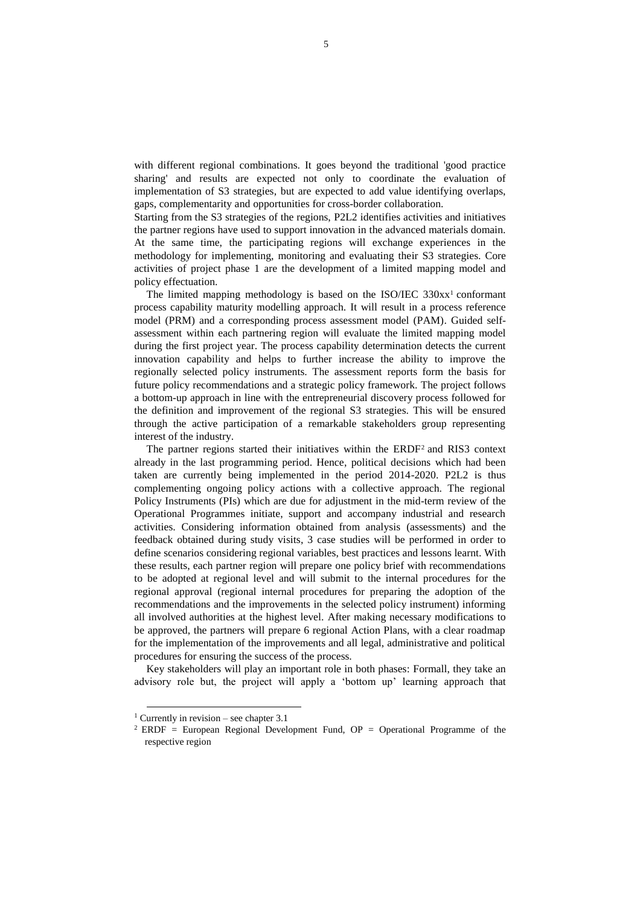with different regional combinations. It goes beyond the traditional 'good practice sharing' and results are expected not only to coordinate the evaluation of implementation of S3 strategies, but are expected to add value identifying overlaps, gaps, complementarity and opportunities for cross-border collaboration.

Starting from the S3 strategies of the regions, P2L2 identifies activities and initiatives the partner regions have used to support innovation in the advanced materials domain. At the same time, the participating regions will exchange experiences in the methodology for implementing, monitoring and evaluating their S3 strategies. Core activities of project phase 1 are the development of a limited mapping model and policy effectuation.

The limited mapping methodology is based on the ISO/IEC  $330xx^1$  conformant process capability maturity modelling approach. It will result in a process reference model (PRM) and a corresponding process assessment model (PAM). Guided selfassessment within each partnering region will evaluate the limited mapping model during the first project year. The process capability determination detects the current innovation capability and helps to further increase the ability to improve the regionally selected policy instruments. The assessment reports form the basis for future policy recommendations and a strategic policy framework. The project follows a bottom-up approach in line with the entrepreneurial discovery process followed for the definition and improvement of the regional S3 strategies. This will be ensured through the active participation of a remarkable stakeholders group representing interest of the industry.

The partner regions started their initiatives within the ERDF<sup>2</sup> and RIS3 context already in the last programming period. Hence, political decisions which had been taken are currently being implemented in the period 2014-2020. P2L2 is thus complementing ongoing policy actions with a collective approach. The regional Policy Instruments (PIs) which are due for adjustment in the mid-term review of the Operational Programmes initiate, support and accompany industrial and research activities. Considering information obtained from analysis (assessments) and the feedback obtained during study visits, 3 case studies will be performed in order to define scenarios considering regional variables, best practices and lessons learnt. With these results, each partner region will prepare one policy brief with recommendations to be adopted at regional level and will submit to the internal procedures for the regional approval (regional internal procedures for preparing the adoption of the recommendations and the improvements in the selected policy instrument) informing all involved authorities at the highest level. After making necessary modifications to be approved, the partners will prepare 6 regional Action Plans, with a clear roadmap for the implementation of the improvements and all legal, administrative and political procedures for ensuring the success of the process.

Key stakeholders will play an important role in both phases: Formall, they take an advisory role but, the project will apply a 'bottom up' learning approach that

 $\overline{a}$ 

<sup>&</sup>lt;sup>1</sup> Currently in revision – see chapter  $3.1$ 

<sup>&</sup>lt;sup>2</sup> ERDF = European Regional Development Fund,  $OP =$  Operational Programme of the respective region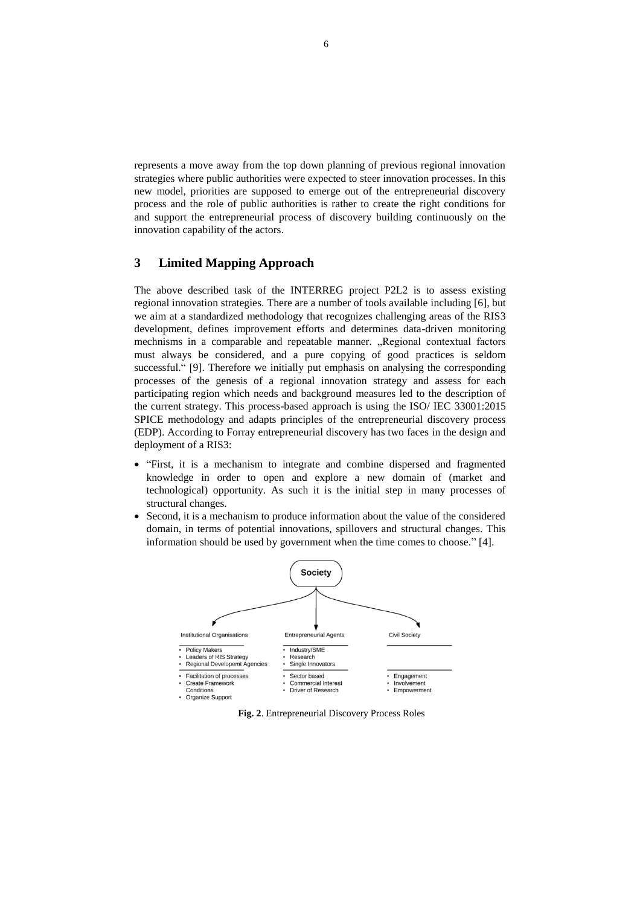represents a move away from the top down planning of previous regional innovation strategies where public authorities were expected to steer innovation processes. In this new model, priorities are supposed to emerge out of the entrepreneurial discovery process and the role of public authorities is rather to create the right conditions for and support the entrepreneurial process of discovery building continuously on the innovation capability of the actors.

### **3 Limited Mapping Approach**

The above described task of the INTERREG project P2L2 is to assess existing regional innovation strategies. There are a number of tools available including [6], but we aim at a standardized methodology that recognizes challenging areas of the RIS3 development, defines improvement efforts and determines data-driven monitoring mechnisms in a comparable and repeatable manner. "Regional contextual factors must always be considered, and a pure copying of good practices is seldom successful." [9]. Therefore we initially put emphasis on analysing the corresponding processes of the genesis of a regional innovation strategy and assess for each participating region which needs and background measures led to the description of the current strategy. This process-based approach is using the ISO/ IEC 33001:2015 SPICE methodology and adapts principles of the entrepreneurial discovery process (EDP). According to Forray entrepreneurial discovery has two faces in the design and deployment of a RIS3:

- "First, it is a mechanism to integrate and combine dispersed and fragmented knowledge in order to open and explore a new domain of (market and technological) opportunity. As such it is the initial step in many processes of structural changes.
- Second, it is a mechanism to produce information about the value of the considered domain, in terms of potential innovations, spillovers and structural changes. This information should be used by government when the time comes to choose." [4].



**Fig. 2**. Entrepreneurial Discovery Process Roles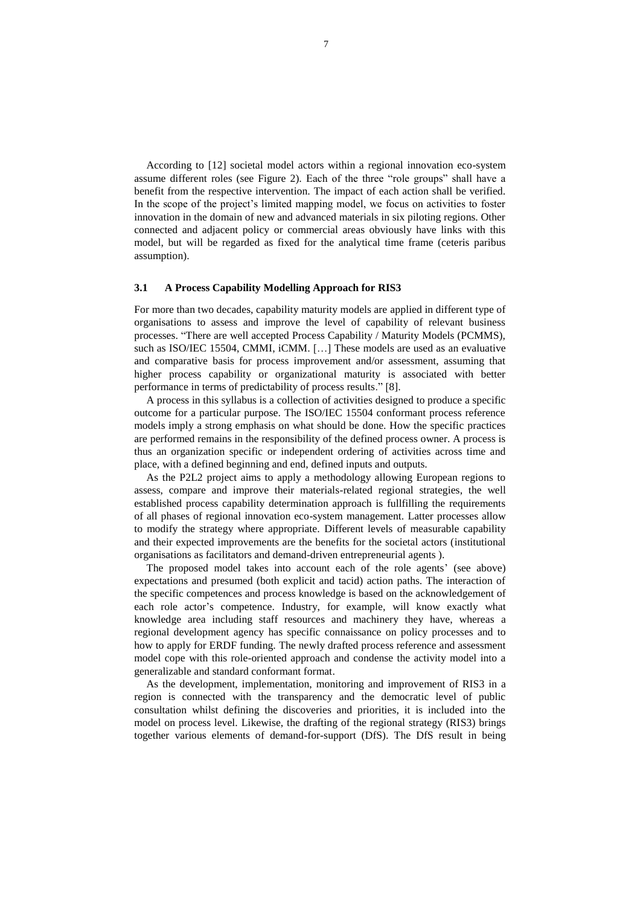According to [12] societal model actors within a regional innovation eco-system assume different roles (see Figure 2). Each of the three "role groups" shall have a benefit from the respective intervention. The impact of each action shall be verified. In the scope of the project's limited mapping model, we focus on activities to foster innovation in the domain of new and advanced materials in six piloting regions. Other connected and adjacent policy or commercial areas obviously have links with this model, but will be regarded as fixed for the analytical time frame (ceteris paribus assumption).

### **3.1 A Process Capability Modelling Approach for RIS3**

For more than two decades, capability maturity models are applied in different type of organisations to assess and improve the level of capability of relevant business processes. "There are well accepted Process Capability / Maturity Models (PCMMS), such as ISO/IEC 15504, CMMI, iCMM. [...] These models are used as an evaluative and comparative basis for process improvement and/or assessment, assuming that higher process capability or organizational maturity is associated with better performance in terms of predictability of process results." [8].

A process in this syllabus is a collection of activities designed to produce a specific outcome for a particular purpose. The ISO/IEC 15504 conformant process reference models imply a strong emphasis on what should be done. How the specific practices are performed remains in the responsibility of the defined process owner. A process is thus an organization specific or independent ordering of activities across time and place, with a defined beginning and end, defined inputs and outputs.

As the P2L2 project aims to apply a methodology allowing European regions to assess, compare and improve their materials-related regional strategies, the well established process capability determination approach is fullfilling the requirements of all phases of regional innovation eco-system management. Latter processes allow to modify the strategy where appropriate. Different levels of measurable capability and their expected improvements are the benefits for the societal actors (institutional organisations as facilitators and demand-driven entrepreneurial agents ).

The proposed model takes into account each of the role agents' (see above) expectations and presumed (both explicit and tacid) action paths. The interaction of the specific competences and process knowledge is based on the acknowledgement of each role actor's competence. Industry, for example, will know exactly what knowledge area including staff resources and machinery they have, whereas a regional development agency has specific connaissance on policy processes and to how to apply for ERDF funding. The newly drafted process reference and assessment model cope with this role-oriented approach and condense the activity model into a generalizable and standard conformant format.

As the development, implementation, monitoring and improvement of RIS3 in a region is connected with the transparency and the democratic level of public consultation whilst defining the discoveries and priorities, it is included into the model on process level. Likewise, the drafting of the regional strategy (RIS3) brings together various elements of demand-for-support (DfS). The DfS result in being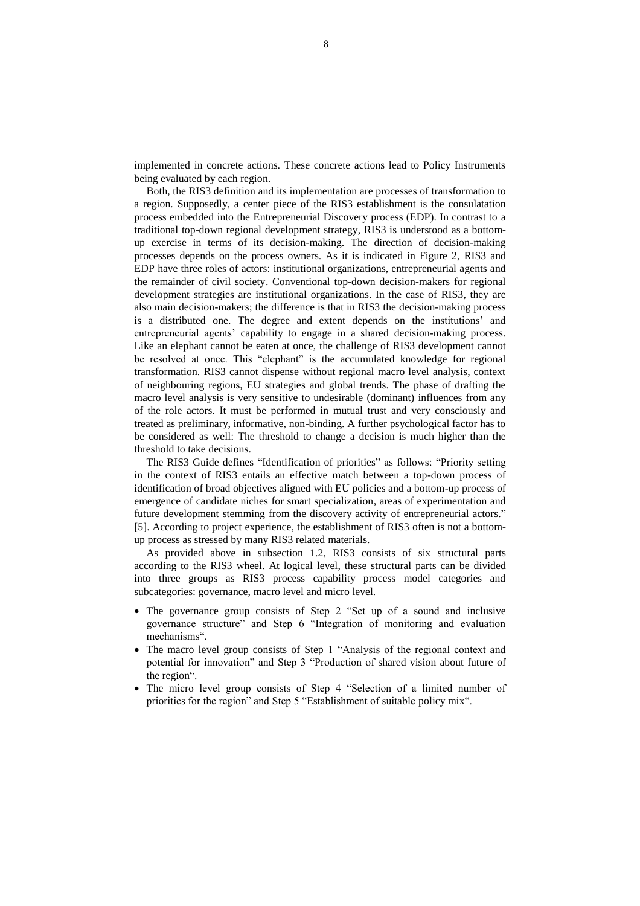implemented in concrete actions. These concrete actions lead to Policy Instruments being evaluated by each region.

Both, the RIS3 definition and its implementation are processes of transformation to a region. Supposedly, a center piece of the RIS3 establishment is the consulatation process embedded into the Entrepreneurial Discovery process (EDP). In contrast to a traditional top-down regional development strategy, RIS3 is understood as a bottomup exercise in terms of its decision-making. The direction of decision-making processes depends on the process owners. As it is indicated in Figure 2, RIS3 and EDP have three roles of actors: institutional organizations, entrepreneurial agents and the remainder of civil society. Conventional top-down decision-makers for regional development strategies are institutional organizations. In the case of RIS3, they are also main decision-makers; the difference is that in RIS3 the decision-making process is a distributed one. The degree and extent depends on the institutions' and entrepreneurial agents' capability to engage in a shared decision-making process. Like an elephant cannot be eaten at once, the challenge of RIS3 development cannot be resolved at once. This "elephant" is the accumulated knowledge for regional transformation. RIS3 cannot dispense without regional macro level analysis, context of neighbouring regions, EU strategies and global trends. The phase of drafting the macro level analysis is very sensitive to undesirable (dominant) influences from any of the role actors. It must be performed in mutual trust and very consciously and treated as preliminary, informative, non-binding. A further psychological factor has to be considered as well: The threshold to change a decision is much higher than the threshold to take decisions.

The RIS3 Guide defines "Identification of priorities" as follows: "Priority setting in the context of RIS3 entails an effective match between a top-down process of identification of broad objectives aligned with EU policies and a bottom-up process of emergence of candidate niches for smart specialization, areas of experimentation and future development stemming from the discovery activity of entrepreneurial actors." [5]. According to project experience, the establishment of RIS3 often is not a bottomup process as stressed by many RIS3 related materials.

As provided above in subsection 1.2, RIS3 consists of six structural parts according to the RIS3 wheel. At logical level, these structural parts can be divided into three groups as RIS3 process capability process model categories and subcategories: governance, macro level and micro level.

- The governance group consists of Step 2 "Set up of a sound and inclusive governance structure" and Step 6 "Integration of monitoring and evaluation mechanisms".
- The macro level group consists of Step 1 "Analysis of the regional context and potential for innovation" and Step 3 "Production of shared vision about future of the region".
- The micro level group consists of Step 4 "Selection of a limited number of priorities for the region" and Step 5 "Establishment of suitable policy mix".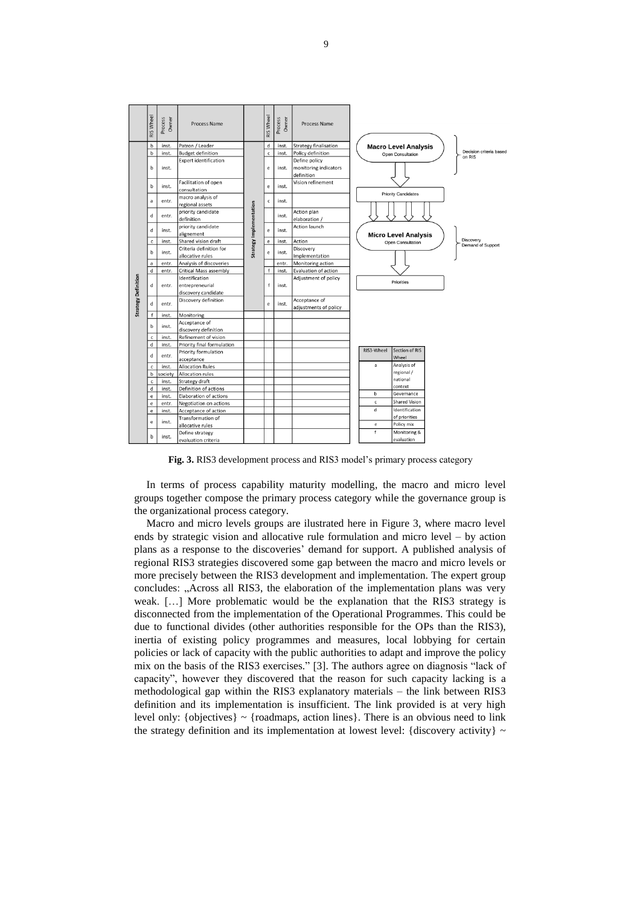|                            | <b>RIS Wheel</b> | Owner<br>Process                           | <b>Process Name</b>                         |                         | <b>RIS Wheel</b> | Process<br>Owner     | Process Name                                         |  |                             |                                |                   |                                  |
|----------------------------|------------------|--------------------------------------------|---------------------------------------------|-------------------------|------------------|----------------------|------------------------------------------------------|--|-----------------------------|--------------------------------|-------------------|----------------------------------|
| <b>Strategy Definition</b> | $\mathbf b$      | inst.                                      | Patron / Leader                             |                         | d                | inst.                | <b>Strategy finalisation</b>                         |  | <b>Macro Level Analysis</b> |                                |                   |                                  |
|                            | $\mathbf b$      | inst.                                      | <b>Budget definition</b>                    |                         | $\mathsf{c}\,$   | inst.                | Policy definition                                    |  |                             | Open Consultation              |                   | Decision criteria base<br>on RIS |
|                            | b                | inst.                                      | <b>Expert identification</b>                |                         | e                | inst.                | Define policy<br>monitoring indicators<br>definition |  | <b>Priority Candidates</b>  |                                |                   |                                  |
|                            | b                | inst.                                      | Facilitation of open<br>consultation        |                         | e                | inst.                | Vision refinement                                    |  |                             |                                |                   |                                  |
|                            | a                | entr.                                      | macro analysis of<br>regional assets        |                         | c                | inst.                |                                                      |  |                             |                                |                   |                                  |
|                            | d                | entr.                                      | priority candidate<br>definition            | Strategy Implementation |                  | inst.                | Action plan<br>elaboration /                         |  |                             |                                |                   |                                  |
|                            | d                | inst.                                      | priority candidate<br>alignement            |                         | e                | inst.                | Action launch                                        |  | <b>Micro Level Analysis</b> |                                |                   |                                  |
|                            | $\mathsf{c}$     | inst.                                      | Shared vision draft                         |                         | e                | inst.                | Action                                               |  | Open Consultation           |                                |                   | Discovery                        |
|                            | b                | inst.                                      | Criteria definition for<br>allocative rules |                         | e                | inst.                | Discovery<br>Implementation                          |  |                             |                                | Demand of Support |                                  |
|                            | a                | entr.                                      | Analysis of discoveries                     |                         |                  | entr.                | Monitoring action                                    |  |                             |                                |                   |                                  |
|                            | d                | entr.                                      | Critical Mass assembly                      |                         | f                | inst.                | Evaluation of action                                 |  |                             |                                |                   |                                  |
|                            | d                | Identification<br>entrepreneurial<br>entr. |                                             | f                       |                  | Adjustment of policy |                                                      |  | Priorities                  |                                |                   |                                  |
|                            | d                | entr.                                      | discovery candidate<br>Discovery definition |                         | e                | inst.                | Acceptance of<br>adjustments of policy               |  |                             |                                |                   |                                  |
|                            | $\mathsf{f}$     | inst.                                      | Monitoring                                  |                         |                  |                      |                                                      |  |                             |                                |                   |                                  |
|                            | b                | inst.                                      | Acceptance of<br>discovery definition       |                         |                  |                      |                                                      |  |                             |                                |                   |                                  |
|                            | $\mathsf{c}\,$   | inst.                                      | Refinement of vision                        |                         |                  |                      |                                                      |  |                             |                                |                   |                                  |
|                            | d                | inst.                                      | Priority final formulation                  |                         |                  |                      |                                                      |  |                             |                                |                   |                                  |
|                            | d                | entr.                                      | Priority formulation<br>acceptance          |                         |                  |                      |                                                      |  | RIS3-Wheel                  | <b>Section of RIS</b><br>Wheel |                   |                                  |
|                            | $\mathsf{c}\,$   | inst.                                      | <b>Allocation Rules</b>                     |                         |                  |                      |                                                      |  | a                           | Analysis of                    |                   |                                  |
|                            | $\sf b$          | society                                    | <b>Allocation rules</b>                     |                         |                  |                      |                                                      |  |                             | regional /                     |                   |                                  |
|                            | $\mathbf{c}$     | inst.                                      | Strategy draft                              |                         |                  |                      |                                                      |  |                             | national                       |                   |                                  |
|                            | d                | inst.                                      | Definition of actions                       |                         |                  |                      |                                                      |  |                             | context                        |                   |                                  |
|                            | $\mathbf e$      | inst.                                      | <b>Elaboration of actions</b>               |                         |                  |                      |                                                      |  | $\mathbf b$                 | Governance                     |                   |                                  |
|                            | $\mathsf{e}\,$   | entr.                                      | Negotiation on actions                      |                         |                  |                      |                                                      |  | c                           | Shared Vision                  |                   |                                  |
|                            | $\mathbf e$      | inst.                                      | Acceptance of action                        |                         |                  |                      |                                                      |  | d                           | Identification                 |                   |                                  |
|                            | e                | inst.                                      | Transformation of                           |                         |                  |                      |                                                      |  |                             | of priorities                  |                   |                                  |
|                            |                  |                                            | allocative rules                            |                         |                  |                      |                                                      |  | e                           | Policy mix                     |                   |                                  |
|                            | b                | inst.                                      | Define strategy<br>evaluation criteria      |                         |                  |                      |                                                      |  | $\mathsf{f}$                | Monitoring &<br>evaluation     |                   |                                  |

**Fig. 3.** RIS3 development process and RIS3 model's primary process category

In terms of process capability maturity modelling, the macro and micro level groups together compose the primary process category while the governance group is the organizational process category.

Macro and micro levels groups are ilustrated here in Figure 3, where macro level ends by strategic vision and allocative rule formulation and micro level – by action plans as a response to the discoveries' demand for support. A published analysis of regional RIS3 strategies discovered some gap between the macro and micro levels or more precisely between the RIS3 development and implementation. The expert group concludes: "Across all RIS3, the elaboration of the implementation plans was very weak. [...] More problematic would be the explanation that the RIS3 strategy is disconnected from the implementation of the Operational Programmes. This could be due to functional divides (other authorities responsible for the OPs than the RIS3), inertia of existing policy programmes and measures, local lobbying for certain policies or lack of capacity with the public authorities to adapt and improve the policy mix on the basis of the RIS3 exercises." [3]. The authors agree on diagnosis "lack of capacity", however they discovered that the reason for such capacity lacking is a methodological gap within the RIS3 explanatory materials – the link between RIS3 definition and its implementation is insufficient. The link provided is at very high level only:  $\{ \text{objects} \}$  ~  $\{ \text{roadmaps}, \text{action lines} \}$ . There is an obvious need to link the strategy definition and its implementation at lowest level: {discovery activity}  $\sim$